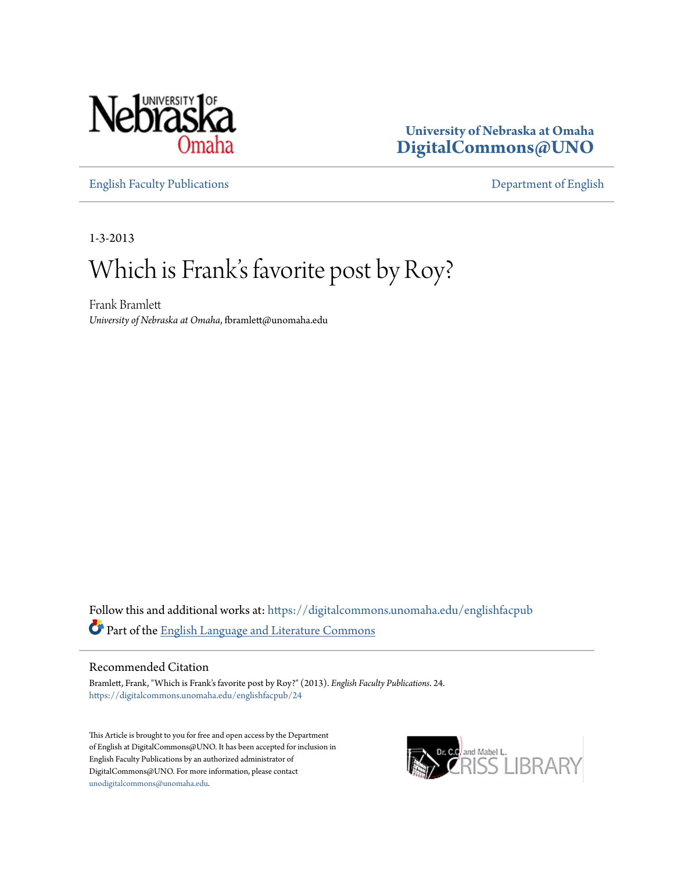

## **University of Nebraska at Omaha [DigitalCommons@UNO](https://digitalcommons.unomaha.edu?utm_source=digitalcommons.unomaha.edu%2Fenglishfacpub%2F24&utm_medium=PDF&utm_campaign=PDFCoverPages)**

[English Faculty Publications](https://digitalcommons.unomaha.edu/englishfacpub?utm_source=digitalcommons.unomaha.edu%2Fenglishfacpub%2F24&utm_medium=PDF&utm_campaign=PDFCoverPages) [Department of English](https://digitalcommons.unomaha.edu/english?utm_source=digitalcommons.unomaha.edu%2Fenglishfacpub%2F24&utm_medium=PDF&utm_campaign=PDFCoverPages)

1-3-2013

# Which is Frank's favorite post by Roy?

Frank Bramlett *University of Nebraska at Omaha*, fbramlett@unomaha.edu

Follow this and additional works at: [https://digitalcommons.unomaha.edu/englishfacpub](https://digitalcommons.unomaha.edu/englishfacpub?utm_source=digitalcommons.unomaha.edu%2Fenglishfacpub%2F24&utm_medium=PDF&utm_campaign=PDFCoverPages) Part of the [English Language and Literature Commons](http://network.bepress.com/hgg/discipline/455?utm_source=digitalcommons.unomaha.edu%2Fenglishfacpub%2F24&utm_medium=PDF&utm_campaign=PDFCoverPages)

#### Recommended Citation

Bramlett, Frank, "Which is Frank's favorite post by Roy?" (2013). *English Faculty Publications*. 24. [https://digitalcommons.unomaha.edu/englishfacpub/24](https://digitalcommons.unomaha.edu/englishfacpub/24?utm_source=digitalcommons.unomaha.edu%2Fenglishfacpub%2F24&utm_medium=PDF&utm_campaign=PDFCoverPages)

This Article is brought to you for free and open access by the Department of English at DigitalCommons@UNO. It has been accepted for inclusion in English Faculty Publications by an authorized administrator of DigitalCommons@UNO. For more information, please contact [unodigitalcommons@unomaha.edu](mailto:unodigitalcommons@unomaha.edu).

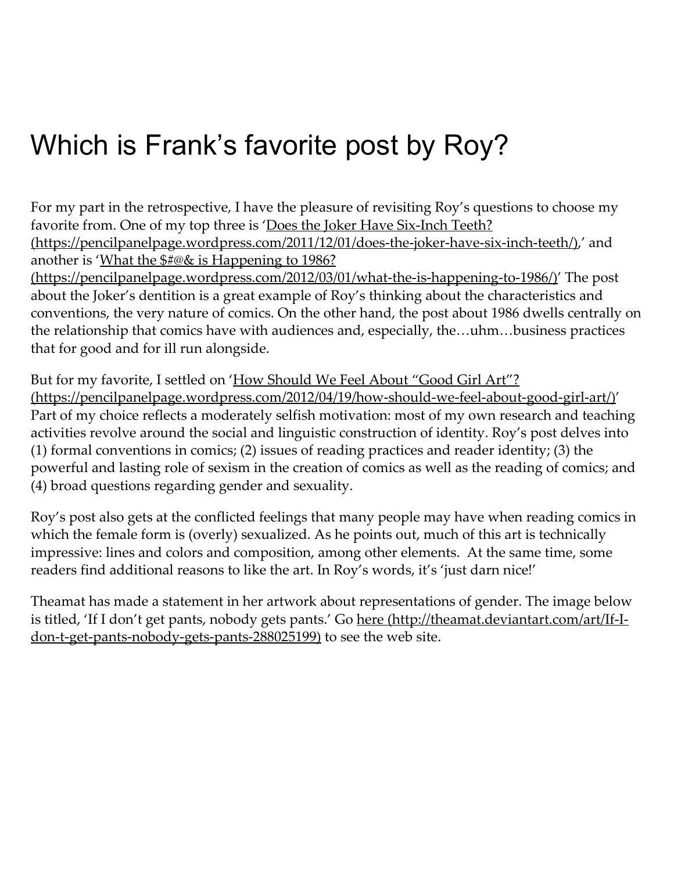For my part in the retrospective, I have the pleasure of revisiting Roy's questions to choose my favorite from. One of my top three is 'Does the Joker Have Six-Inch Teeth? (https://pencilpanelpage.wordpress.com/2011/12/01/does-the-joker-have-six-inch-teeth/),' and another is 'What the \$#@& is Happening to 1986?

(https://pencilpanelpage.wordpress.com/2012/03/01/what-the-is-happening-to-1986/)' The post about the Joker's dentition is a great example of Roy's thinking about the characteristics and conventions, the very nature of comics. On the other hand, the post about 1986 dwells centrally on the relationship that comics have with audiences and, especially, the…uhm…business practices that for good and for ill run alongside.

But for my favorite, I settled on 'How Should We Feel About "Good Girl Art"? [\(https://pencilpanelpage.wordpress.com/2012/04/19/how‑should‑we‑feel‑about‑good‑girl‑art/\)](https://pencilpanelpage.wordpress.com/2012/04/19/how-should-we-feel-about-good-girl-art/)' Part of my choice reflects a moderately selfish motivation: most of my own research and teaching activities revolve around the social and linguistic construction of identity. Roy's post delves into (1) formal conventions in comics; (2) issues of reading practices and reader identity; (3) the powerful and lasting role of sexism in the creation of comics as well as the reading of comics; and (4) broad questions regarding gender and sexuality.

Roy's post also gets at the conflicted feelings that many people may have when reading comics in which the female form is (overly) sexualized. As he points out, much of this art is technically impressive: lines and colors and composition, among other elements. At the same time, some readers find additional reasons to like the art. In Roy's words, it's 'just darn nice!'

Theamat has made a statement in her artwork about representations of gender. The image below is titled, 'If I don't get pants, nobody gets pants.' Go here (http://theamat.deviantart.com/art/If-Idon-t-get-pants-nobody-gets-pants-288025199) to see the web site.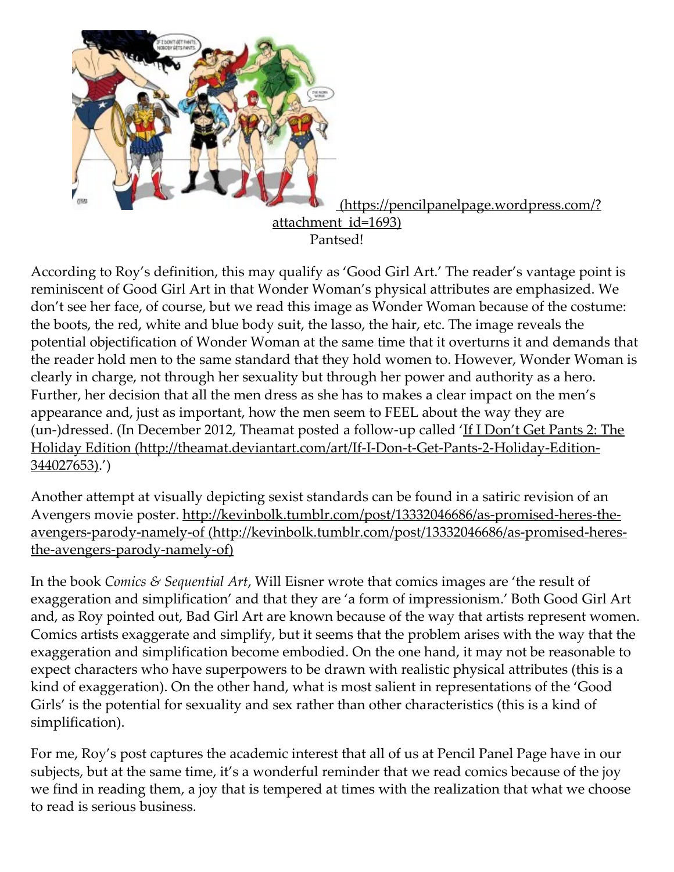

According to Roy's definition, this may qualify as 'Good Girl Art.' The reader's vantage point is reminiscent of Good Girl Art in that Wonder Woman's physical attributes are emphasized. We don't see her face, of course, but we read this image as Wonder Woman because of the costume: the boots, the red, white and blue body suit, the lasso, the hair, etc. The image reveals the potential objectification of Wonder Woman at the same time that it overturns it and demands that the reader hold men to the same standard that they hold women to. However, Wonder Woman is clearly in charge, not through her sexuality but through her power and authority as a hero. Further, her decision that all the men dress as she has to makes a clear impact on the men's appearance and, just as important, how the men seem to FEEL about the way they are (un-)dressed. (In December 2012, Theamat posted a follow-up called 'If I Don't Get Pants 2: The Holiday Edition (http://theamat.deviantart.com/art/If-I-Don-t-Get-Pants-2-Holiday-Edition-344027653).')

Another attempt at visually depicting sexist standards can be found in a satiric revision of an Avengers movie poster. http://kevinbolk.tumblr.com/post/13332046686/as-promised-heres-theavengers-parody-namely-of (http://kevinbolk.tumblr.com/post/13332046686/as-promised-heresthe-avengers-parody-namely-of)

In the book Comics & Sequential Art, Will Eisner wrote that comics images are 'the result of exaggeration and simplification' and that they are 'a form of impressionism.' Both Good Girl Art and, as Roy pointed out, Bad Girl Art are known because of the way that artists represent women. Comics artists exaggerate and simplify, but it seems that the problem arises with the way that the exaggeration and simplification become embodied. On the one hand, it may not be reasonable to expect characters who have superpowers to be drawn with realistic physical attributes (this is a kind of exaggeration). On the other hand, what is most salient in representations of the 'Good Girls' is the potential for sexuality and sex rather than other characteristics (this is a kind of simplification).

For me, Roy's post captures the academic interest that all of us at Pencil Panel Page have in our subjects, but at the same time, it's a wonderful reminder that we read comics because of the joy we find in reading them, a joy that is tempered at times with the realization that what we choose to read is serious business.